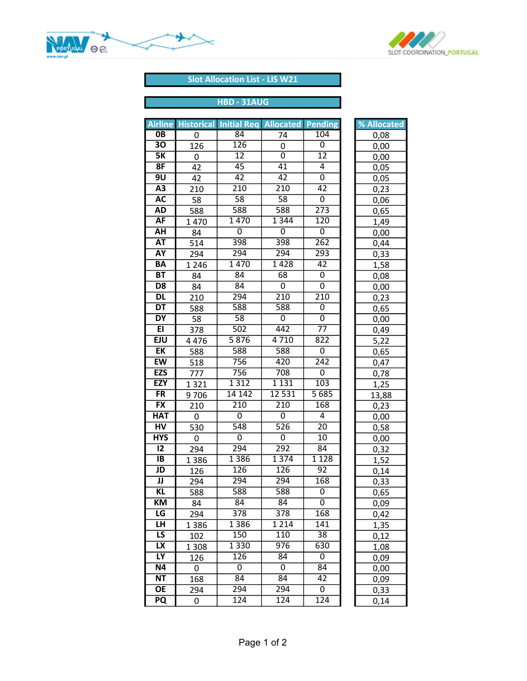



## Slot Allocation List - LIS W21

| <b>Airline</b>                    |                        |                                            |                       |                  |              |
|-----------------------------------|------------------------|--------------------------------------------|-----------------------|------------------|--------------|
| $\overline{OB}$                   | <b>Historical</b><br>0 | <b>Initial Reg Allocated Pending</b><br>84 | 74                    | 104              | % Allocated  |
| 30                                | 126                    | 126                                        | 0                     | 0                | 0,08<br>0,00 |
| $\overline{\mathsf{5K}}$          | 0                      | $\overline{12}$                            | $\overline{0}$        | $\overline{12}$  | 0,00         |
| 8F                                | 42                     | $\overline{45}$                            | $\overline{41}$       | $\overline{4}$   | 0,05         |
| 9U                                | 42                     | $\overline{42}$                            | 42                    | $\overline{0}$   | 0,05         |
| $\overline{A3}$                   | 210                    | $\overline{210}$                           | $\overline{210}$      | 42               | 0,23         |
| <b>AC</b>                         | 58                     | $\overline{58}$                            | $\overline{58}$       | $\overline{0}$   | 0,06         |
| <b>AD</b>                         | 588                    | 588                                        | 588                   | $\overline{273}$ | 0,65         |
| <b>AF</b>                         | 1470                   | 1470                                       | 1 3 4 4               | 120              | 1,49         |
| AH                                | 84                     | $\overline{0}$                             | $\overline{0}$        | 0                | 0,00         |
| <b>AT</b>                         | 514                    | 398                                        | 398                   | $\overline{262}$ | 0,44         |
| <b>AY</b>                         | 294                    | 294                                        | 294                   | 293              | 0,33         |
| <b>BA</b>                         | 1 2 4 6                | 1470                                       | 1428                  | $\overline{42}$  | 1,58         |
| BT                                | 84                     | $\overline{84}$                            | $\overline{68}$       | 0                | 0,08         |
| D <sub>8</sub>                    | 84                     | 84                                         | 0                     | 0                | 0,00         |
| <b>DL</b>                         | 210                    | 294                                        | 210                   | 210              | 0,23         |
| $\overline{DT}$                   | 588                    | 588                                        | 588                   | $\overline{0}$   | 0,65         |
| DY                                | 58                     | $\overline{58}$                            | $\overline{0}$        | $\overline{0}$   | 0,00         |
| E                                 | 378                    | 502                                        | 442                   | $\overline{77}$  | 0,49         |
| <b>EJU</b>                        | 4476                   | 5876                                       | 4710                  | $\overline{822}$ | 5,22         |
| $E$ K                             | 588                    | 588                                        | 588                   | 0                | 0,65         |
| <b>EW</b>                         | 518                    | 756                                        | 420                   | $\overline{242}$ | 0,47         |
| <b>EZS</b>                        | 777                    | 756                                        | 708                   | $\overline{0}$   | 0,78         |
| <b>EZY</b>                        | 1321                   | 1 3 1 2                                    | 1 1 3 1               | 103              | 1,25         |
| $\overline{\mathsf{FR}}$          | 9706                   | 14 142                                     | 12 5 31               | 5 6 8 5          | 13,88        |
| <b>FX</b>                         | 210                    | $\overline{210}$                           | $\overline{210}$      | 168              | 0,23         |
| <b>HAT</b>                        | 0                      | 0                                          | 0                     | 4                | 0,00         |
| $\overline{HV}$<br><b>HYS</b>     | 530                    | 548                                        | 526                   | $\overline{20}$  | 0,58         |
| $\overline{12}$                   | 0                      | $\overline{0}$<br>294                      | $\overline{0}$<br>292 | $\overline{10}$  | 0,00         |
| IB                                | 294                    | 1386                                       | 1 3 7 4               | 84<br>1128       | 0,32         |
| JD                                | 1386                   | 126                                        | 126                   | 92               | 1,52         |
| $\overline{\mathsf{J}\mathsf{J}}$ | 126<br>294             | 294                                        | 294                   | 168              | 0,14<br>0,33 |
| ΚL                                | 588                    | 588                                        | 588                   | 0                |              |
| КM                                | 84                     | 84                                         | 84                    | 0                | 0,65<br>0,09 |
| LG                                | 294                    | $\overline{378}$                           | $\overline{378}$      | 168              | 0,42         |
| LH                                | 1386                   | 1386                                       | 1 2 1 4               | $\overline{141}$ | 1,35         |
| $\overline{\mathsf{LS}}$          | 102                    | 150                                        | 110                   | $\overline{38}$  | 0,12         |
| $\overline{\mathsf{L}\mathsf{X}}$ | 1 3 0 8                | 1 3 3 0                                    | $\overline{976}$      | 630              | 1,08         |
| LY                                | 126                    | 126                                        | 84                    | 0                | 0,09         |
| <b>N4</b>                         | 0                      | 0                                          | 0                     | 84               | 0,00         |
| <b>NT</b>                         | 168                    | 84                                         | 84                    | 42               | 0,09         |
| OE                                | 294                    | 294                                        | 294                   | 0                | 0,33         |
| PQ                                | 0                      | 124                                        | 124                   | 124              | 0,14         |